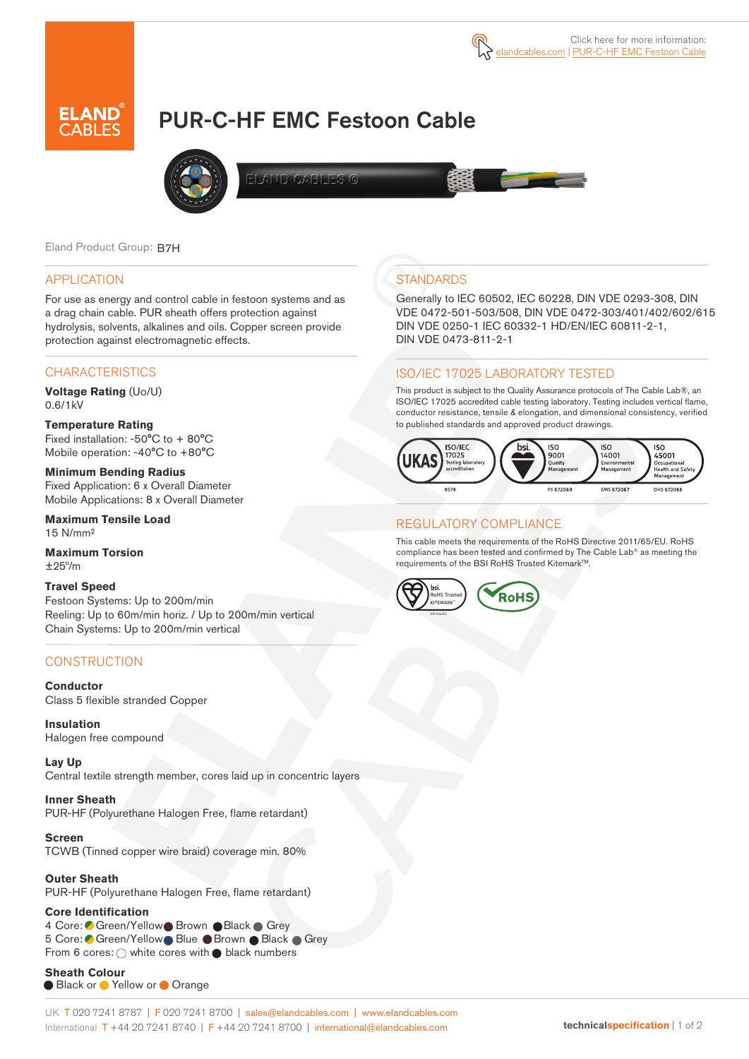

# PUR-C-HF EMC Festoon Cable



**AND CARNESS** 

Eland Product Group: B7H

#### APPLICATION

For use as energy and control cable in festoon systems and as a drag chain cable. PUR sheath offers protection against hydrolysis, solvents, alkalines and oils. Copper screen provide protection against electromagnetic effects.

## **CHARACTERISTICS**

**Voltage Rating** (Uo/U) 0.6/1kV

#### **Temperature Rating**  Fixed installation: -50°C to + 80°C Mobile operation: -40°C to +80°C

**Minimum Bending Radius**  Fixed Application: 6 x Overall Diameter Mobile Applications: 8 x Overall Diameter

**Maximum Tensile Load**  15 N/mm²

**Maximum Torsion**   $+25^{\circ}/m$ 

### **Travel Speed**

Festoon Systems: Up to 200m/min Reeling: Up to 60m/min horiz. / Up to 200m/min vertical Chain Systems: Up to 200m/min vertical

## **CONSTRUCTION**

## **Conductor**

Class 5 flexible stranded Copper

**Insulation** Halogen free compound

**Lay Up** Central textile strength member, cores laid up in concentric layers

**Inner Sheath** PUR-HF (Polyurethane Halogen Free, flame retardant)

**Screen** TCWB (Tinned copper wire braid) coverage min. 80%

**Outer Sheath** PUR-HF (Polyurethane Halogen Free, flame retardant)

#### **Core Identification**

4 Core: Green/Yellow Brown Black Grey 5 Core: Green/Yellow Blue Brown Black Grey From 6 cores:  $\bigcirc$  white cores with  $\bigcirc$  black numbers

**Sheath Colour**  Black or Yellow or Orange

## **STANDARDS**

Generally to IEC 60502, IEC 60228, DIN VDE 0293-308, DIN VDE 0472-501-503/508, DIN VDE 0472-303/401/402/602/615 DIN VDE 0250-1 IEC 60332-1 HD/EN/IEC 60811-2-1, DIN VDE 0473-811-2-1

## ISO/IEC 17025 LABORATORY TESTED

This product is subject to the Quality Assurance protocols of The Cable Lab®, an ISO/IEC 17025 accredited cable testing laboratory. Testing includes vertical flame, conductor resistance, tensile & elongation, and dimensional consistency, verified to published standards and approved product drawings.



## REGULATORY COMPLIANCE

This cable meets the requirements of the RoHS Directive 2011/65/EU. RoHS compliance has been tested and confirmed by The Cable Lab® as meeting the requirements of the BSI RoHS Trusted KitemarkTM.